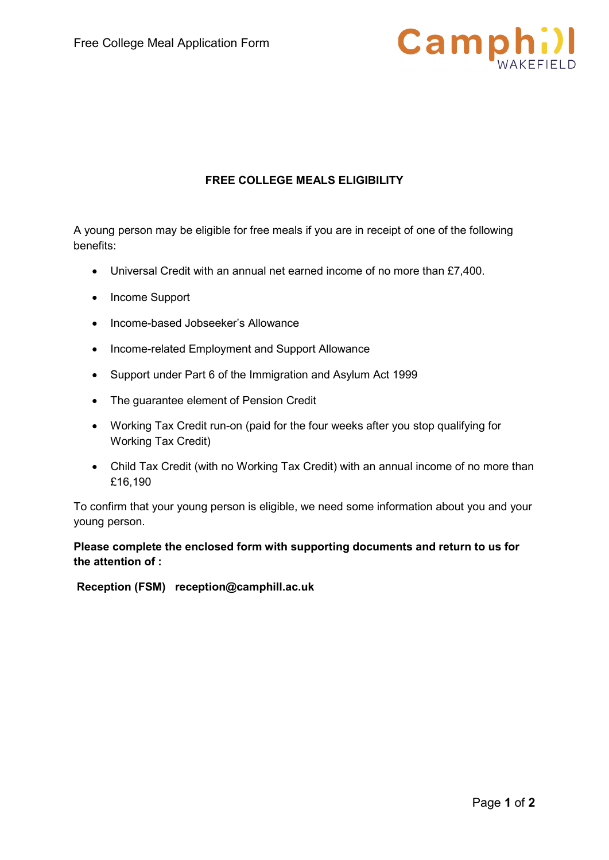

# **FREE COLLEGE MEALS ELIGIBILITY**

A young person may be eligible for free meals if you are in receipt of one of the following benefits:

- Universal Credit with an annual net earned income of no more than £7,400.
- Income Support
- Income-based Jobseeker's Allowance
- Income-related Employment and Support Allowance
- Support under Part 6 of the Immigration and Asylum Act 1999
- The guarantee element of Pension Credit
- Working Tax Credit run-on (paid for the four weeks after you stop qualifying for Working Tax Credit)
- Child Tax Credit (with no Working Tax Credit) with an annual income of no more than £16,190

To confirm that your young person is eligible, we need some information about you and your young person.

## **Please complete the enclosed form with supporting documents and return to us for the attention of :**

**Reception (FSM) reception@camphill.ac.uk**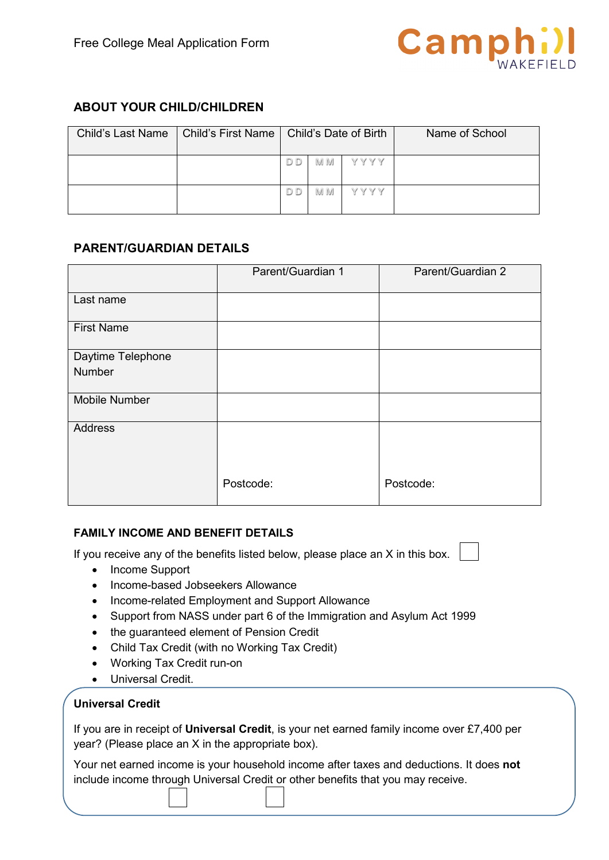

# **ABOUT YOUR CHILD/CHILDREN**

|  | Child's Last Name   Child's First Name   Child's Date of Birth |     |         | Name of School |
|--|----------------------------------------------------------------|-----|---------|----------------|
|  | D                                                              | M M | Y Y Y Y |                |
|  | D D                                                            | M M | Y Y Y Y |                |

## **PARENT/GUARDIAN DETAILS**

|                   | Parent/Guardian 1 | Parent/Guardian 2 |
|-------------------|-------------------|-------------------|
| Last name         |                   |                   |
| <b>First Name</b> |                   |                   |
| Daytime Telephone |                   |                   |
| Number            |                   |                   |
| Mobile Number     |                   |                   |
| <b>Address</b>    |                   |                   |
|                   | Postcode:         | Postcode:         |

## **FAMILY INCOME AND BENEFIT DETAILS**

If you receive any of the benefits listed below, please place an X in this box.

- Income Support
- Income-based Jobseekers Allowance
- Income-related Employment and Support Allowance
- Support from NASS under part 6 of the Immigration and Asylum Act 1999
- the guaranteed element of Pension Credit
- Child Tax Credit (with no Working Tax Credit)
- Working Tax Credit run-on
- Universal Credit.

#### **Universal Credit**

If you are in receipt of **Universal Credit**, is your net earned family income over £7,400 per year? (Please place an X in the appropriate box).

Your net earned income is your household income after taxes and deductions. It does **not** include income through Universal Credit or other benefits that you may receive.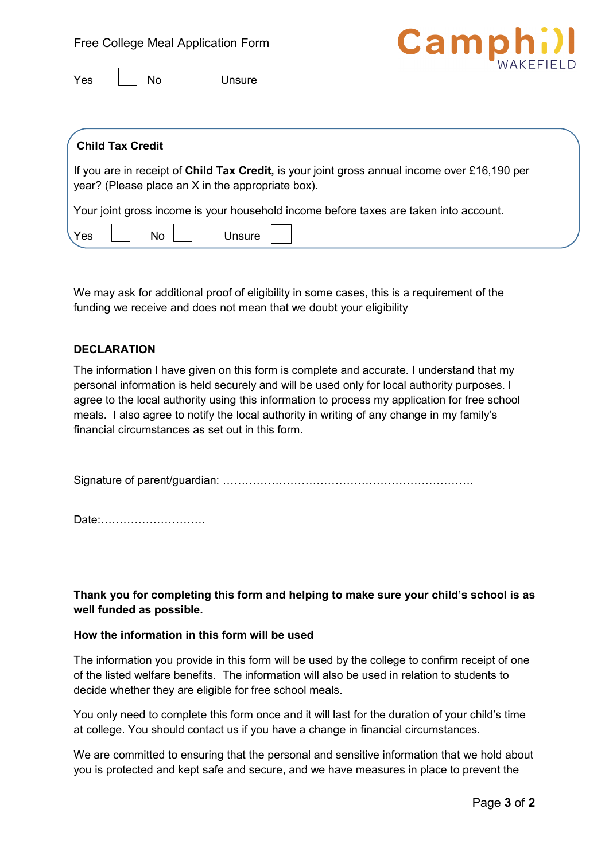



| <b>Child Tax Credit</b>                                                                                                                            |  |
|----------------------------------------------------------------------------------------------------------------------------------------------------|--|
| If you are in receipt of Child Tax Credit, is your joint gross annual income over £16,190 per<br>year? (Please place an X in the appropriate box). |  |
| Your joint gross income is your household income before taxes are taken into account.                                                              |  |
| Yes<br>No l<br>Unsure                                                                                                                              |  |

We may ask for additional proof of eligibility in some cases, this is a requirement of the funding we receive and does not mean that we doubt your eligibility

#### **DECLARATION**

The information I have given on this form is complete and accurate. I understand that my personal information is held securely and will be used only for local authority purposes. I agree to the local authority using this information to process my application for free school meals. I also agree to notify the local authority in writing of any change in my family's financial circumstances as set out in this form.

Signature of parent/guardian: ………………………………………………………….

Date:……………………….

**Thank you for completing this form and helping to make sure your child's school is as well funded as possible.** 

## **How the information in this form will be used**

The information you provide in this form will be used by the college to confirm receipt of one of the listed welfare benefits. The information will also be used in relation to students to decide whether they are eligible for free school meals.

You only need to complete this form once and it will last for the duration of your child's time at college. You should contact us if you have a change in financial circumstances.

We are committed to ensuring that the personal and sensitive information that we hold about you is protected and kept safe and secure, and we have measures in place to prevent the